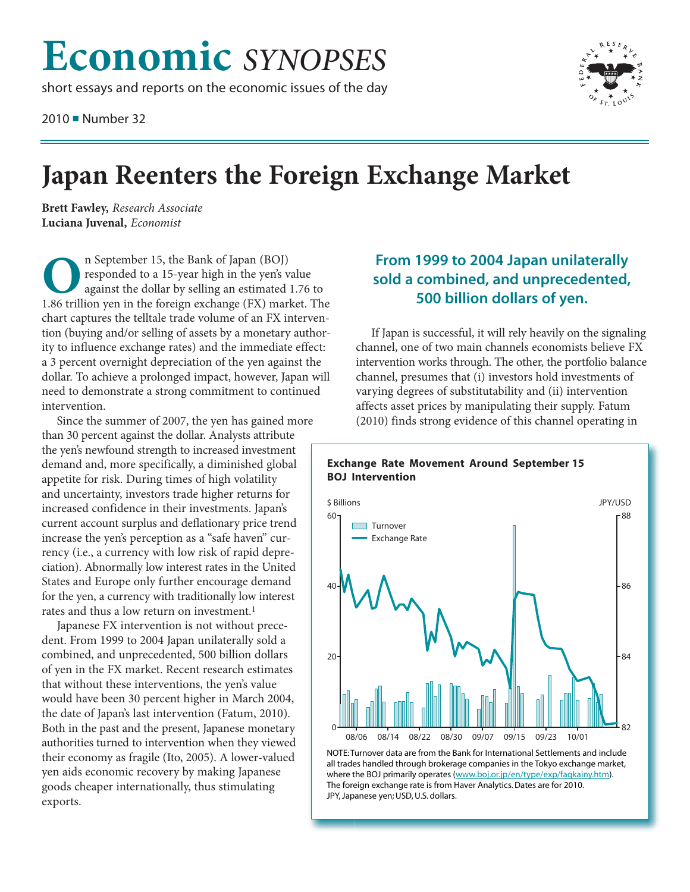# **Economic** *SYNOPSES*

short essays and reports on the economic issues of the day

2010 ■ Number 32



## **Japan Reenters the Foreign Exchange Market**

**Brett Fawley,** *Research Associate* **Luciana Juvenal,** *Economist*

**O**n September 15, the Bank of Japan (BOJ) responded to a 15-year high in the yen's vagainst the dollar by selling an estimated 1.86 trillion yen in the foreign exchange (FX) mar chart captures the telltale trade volume of responded to a 15-year high in the yen's value against the dollar by selling an estimated 1.76 to 1.86 trillion yen in the foreign exchange (FX) market. The chart captures the telltale trade volume of an FX intervention (buying and/or selling of assets by a monetary authority to influence exchange rates) and the immediate effect: a 3 percent overnight depreciation of the yen against the dollar. To achieve a prolonged impact, however, Japan will need to demonstrate a strong commitment to continued intervention.

Since the summer of 2007, the yen has gained more than 30 percent against the dollar. Analysts attribute the yen's newfound strength to increased investment demand and, more specifically, a diminished global appetite for risk. During times of high volatility and uncertainty, investors trade higher returns for increased confidence in their investments. Japan's current account surplus and deflationary price trend increase the yen's perception as a "safe haven" currency (i.e., a currency with low risk of rapid depreciation). Abnormally low interest rates in the United States and Europe only further encourage demand for the yen, a currency with traditionally low interest rates and thus a low return on investment.<sup>1</sup>

Japanese FX intervention is not without precedent. From 1999 to 2004 Japan unilaterally sold a combined, and unprecedented, 500 billion dollars of yen in the FX market. Recent research estimates that without these interventions, the yen's value would have been 30 percent higher in March 2004, the date of Japan's last intervention (Fatum, 2010). Both in the past and the present, Japanese monetary authorities turned to intervention when they viewed their economy as fragile (Ito, 2005). A lower-valued yen aids economic recovery by making Japanese goods cheaper internationally, thus stimulating exports.

#### **From 1999 to 2004 Japan unilaterally sold a combined, and unprecedented, 500 billion dollars of yen.**

If Japan is successful, it will rely heavily on the signaling channel, one of two main channels economists believe FX intervention works through. The other, the portfolio balance channel, presumes that (i) investors hold investments of varying degrees of substitutability and (ii) intervention affects asset prices by manipulating their supply. Fatum (2010) finds strong evidence of this channel operating in

#### **Exchange Rate Movement Around September 15 BOJ Intervention**



NOTE: Turnover data are from the Bank for International Settlements and include all trades handled through brokerage companies in the Tokyo exchange market, where the BOJ primarily operates (www.boj.or.jp/en/type/exp/faqkainy.htm). The foreign exchange rate is from Haver Analytics. Dates are for 2010. JPY, Japanese yen; USD, U.S. dollars.